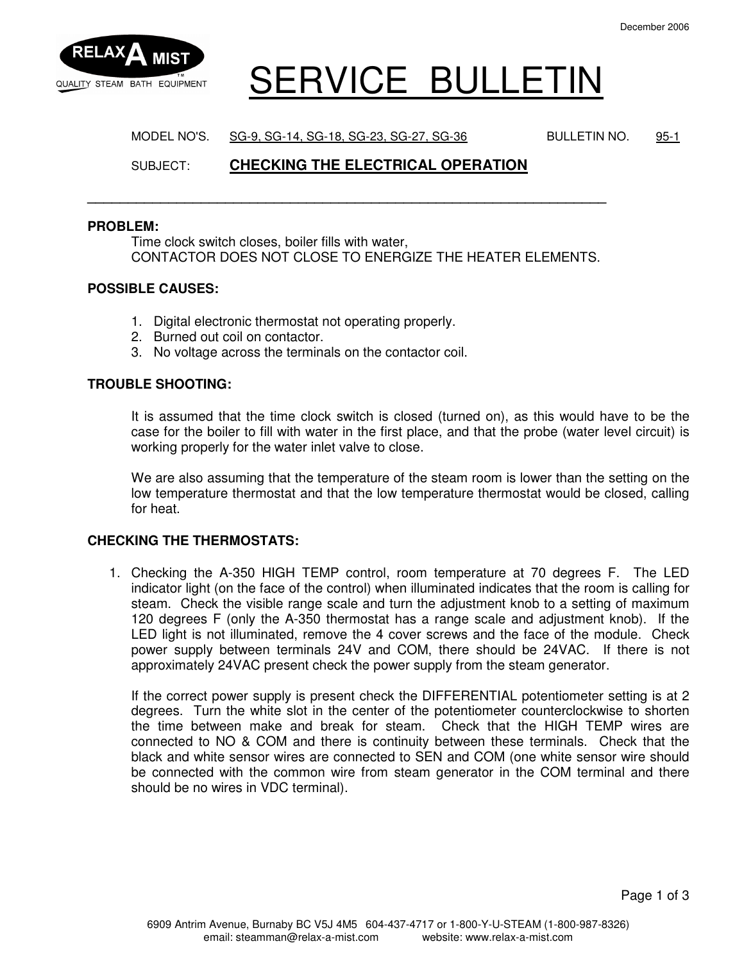

# QUALITY STEAM BATH EQUIPMENT SERVICE BULLETIN

MODEL NO'S. SG-9, SG-14, SG-18, SG-23, SG-27, SG-36 BULLETIN NO. 95-1

# SUBJECT: **CHECKING THE ELECTRICAL OPERATION**

**\_\_\_\_\_\_\_\_\_\_\_\_\_\_\_\_\_\_\_\_\_\_\_\_\_\_\_\_\_\_\_\_\_\_\_\_\_\_\_\_\_\_\_\_\_\_\_\_\_\_\_\_\_\_\_\_\_\_\_\_\_\_\_\_** 

#### **PROBLEM:**

Time clock switch closes, boiler fills with water, CONTACTOR DOES NOT CLOSE TO ENERGIZE THE HEATER ELEMENTS.

#### **POSSIBLE CAUSES:**

- 1. Digital electronic thermostat not operating properly.
- 2. Burned out coil on contactor.
- 3. No voltage across the terminals on the contactor coil.

### **TROUBLE SHOOTING:**

It is assumed that the time clock switch is closed (turned on), as this would have to be the case for the boiler to fill with water in the first place, and that the probe (water level circuit) is working properly for the water inlet valve to close.

We are also assuming that the temperature of the steam room is lower than the setting on the low temperature thermostat and that the low temperature thermostat would be closed, calling for heat.

#### **CHECKING THE THERMOSTATS:**

1. Checking the A-350 HIGH TEMP control, room temperature at 70 degrees F. The LED indicator light (on the face of the control) when illuminated indicates that the room is calling for steam. Check the visible range scale and turn the adjustment knob to a setting of maximum 120 degrees F (only the A-350 thermostat has a range scale and adjustment knob). If the LED light is not illuminated, remove the 4 cover screws and the face of the module. Check power supply between terminals 24V and COM, there should be 24VAC. If there is not approximately 24VAC present check the power supply from the steam generator.

If the correct power supply is present check the DIFFERENTIAL potentiometer setting is at 2 degrees. Turn the white slot in the center of the potentiometer counterclockwise to shorten the time between make and break for steam. Check that the HIGH TEMP wires are connected to NO & COM and there is continuity between these terminals. Check that the black and white sensor wires are connected to SEN and COM (one white sensor wire should be connected with the common wire from steam generator in the COM terminal and there should be no wires in VDC terminal).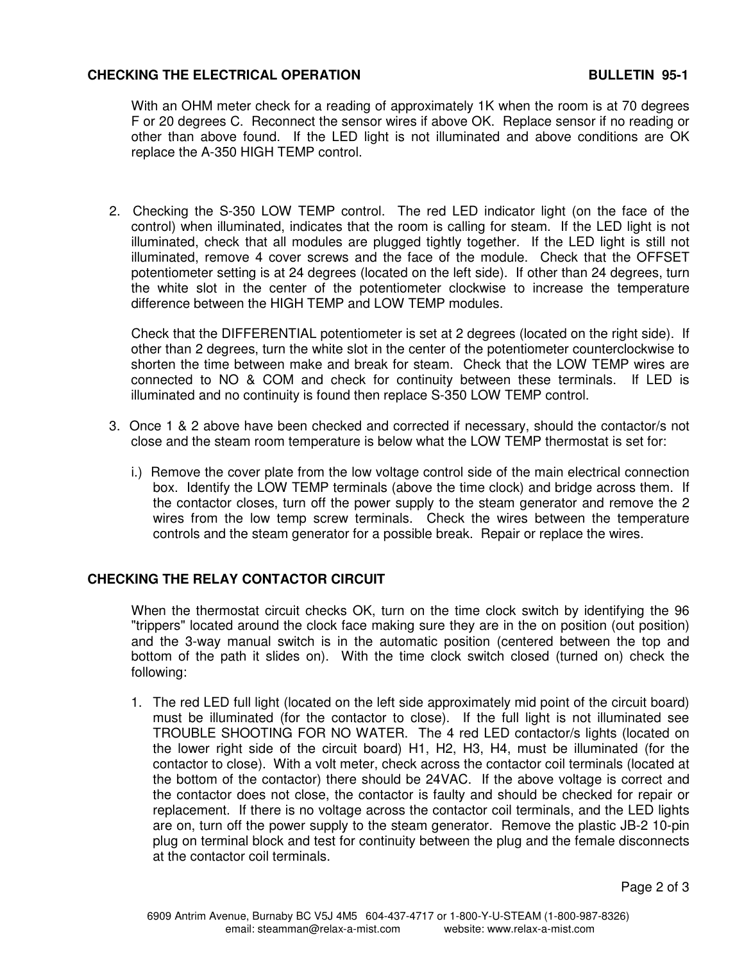# **CHECKING THE ELECTRICAL OPERATION BULLETIN 95-1**

With an OHM meter check for a reading of approximately 1K when the room is at 70 degrees F or 20 degrees C. Reconnect the sensor wires if above OK. Replace sensor if no reading or other than above found. If the LED light is not illuminated and above conditions are OK replace the A-350 HIGH TEMP control.

2. Checking the S-350 LOW TEMP control. The red LED indicator light (on the face of the control) when illuminated, indicates that the room is calling for steam. If the LED light is not illuminated, check that all modules are plugged tightly together. If the LED light is still not illuminated, remove 4 cover screws and the face of the module. Check that the OFFSET potentiometer setting is at 24 degrees (located on the left side). If other than 24 degrees, turn the white slot in the center of the potentiometer clockwise to increase the temperature difference between the HIGH TEMP and LOW TEMP modules.

Check that the DIFFERENTIAL potentiometer is set at 2 degrees (located on the right side). If other than 2 degrees, turn the white slot in the center of the potentiometer counterclockwise to shorten the time between make and break for steam. Check that the LOW TEMP wires are connected to NO & COM and check for continuity between these terminals. If LED is illuminated and no continuity is found then replace S-350 LOW TEMP control.

- 3. Once 1 & 2 above have been checked and corrected if necessary, should the contactor/s not close and the steam room temperature is below what the LOW TEMP thermostat is set for:
	- i.) Remove the cover plate from the low voltage control side of the main electrical connection box. Identify the LOW TEMP terminals (above the time clock) and bridge across them. If the contactor closes, turn off the power supply to the steam generator and remove the 2 wires from the low temp screw terminals. Check the wires between the temperature controls and the steam generator for a possible break. Repair or replace the wires.

## **CHECKING THE RELAY CONTACTOR CIRCUIT**

When the thermostat circuit checks OK, turn on the time clock switch by identifying the 96 "trippers" located around the clock face making sure they are in the on position (out position) and the 3-way manual switch is in the automatic position (centered between the top and bottom of the path it slides on). With the time clock switch closed (turned on) check the following:

1. The red LED full light (located on the left side approximately mid point of the circuit board) must be illuminated (for the contactor to close). If the full light is not illuminated see TROUBLE SHOOTING FOR NO WATER. The 4 red LED contactor/s lights (located on the lower right side of the circuit board) H1, H2, H3, H4, must be illuminated (for the contactor to close). With a volt meter, check across the contactor coil terminals (located at the bottom of the contactor) there should be 24VAC. If the above voltage is correct and the contactor does not close, the contactor is faulty and should be checked for repair or replacement. If there is no voltage across the contactor coil terminals, and the LED lights are on, turn off the power supply to the steam generator. Remove the plastic JB-2 10-pin plug on terminal block and test for continuity between the plug and the female disconnects at the contactor coil terminals.